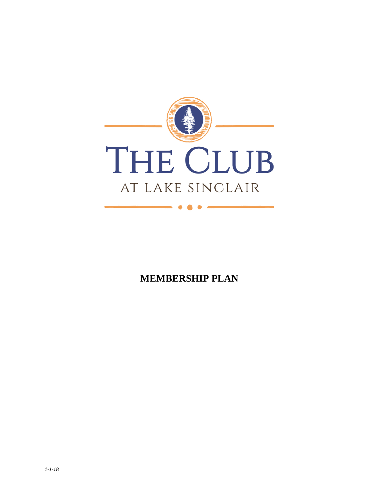

**MEMBERSHIP PLAN**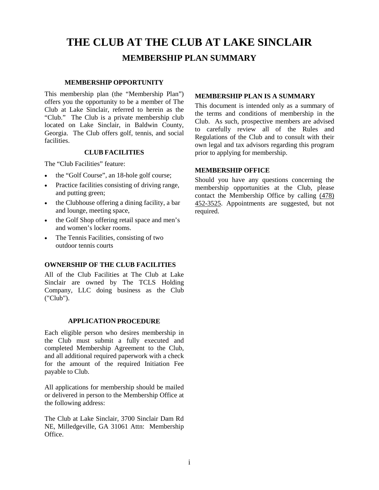# **THE CLUB AT THE CLUB AT LAKE SINCLAIR MEMBERSHIP PLAN SUMMARY**

#### **MEMBERSHIP OPPORTUNITY**

This membership plan (the "Membership Plan") offers you the opportunity to be a member of The Club at Lake Sinclair, referred to herein as the "Club." The Club is a private membership club located on Lake Sinclair, in Baldwin County, Georgia. The Club offers golf, tennis, and social facilities.

#### **CLUB FACILITIES**

The "Club Facilities" feature:

- the "Golf Course", an 18-hole golf course;
- Practice facilities consisting of driving range, and putting green;
- the Clubhouse offering a dining facility, a bar and lounge, meeting space,
- the Golf Shop offering retail space and men's and women's locker rooms.
- The Tennis Facilities, consisting of two outdoor tennis courts

#### **OWNERSHIP OF THE CLUB FACILITIES**

All of the Club Facilities at The Club at Lake Sinclair are owned by The TCLS Holding Company, LLC doing business as the Club ("Club").

#### **APPLICATION PROCEDURE**

Each eligible person who desires membership in the Club must submit a fully executed and completed Membership Agreement to the Club, and all additional required paperwork with a check for the amount of the required Initiation Fee payable to Club.

All applications for membership should be mailed or delivered in person to the Membership Office at the following address:

The Club at Lake Sinclair, 3700 Sinclair Dam Rd NE, Milledgeville, GA 31061 Attn: Membership Office.

#### **MEMBERSHIP PLAN IS A SUMMARY**

This document is intended only as a summary of the terms and conditions of membership in the Club. As such, prospective members are advised to carefully review all of the Rules and Regulations of the Club and to consult with their own legal and tax advisors regarding this program prior to applying for membership.

#### **MEMBERSHIP OFFICE**

Should you have any questions concerning the membership opportunities at the Club, please contact the Membership Office by calling [\(478\)](javascript:void(0))  [452-3525.](javascript:void(0)) Appointments are suggested, but not required.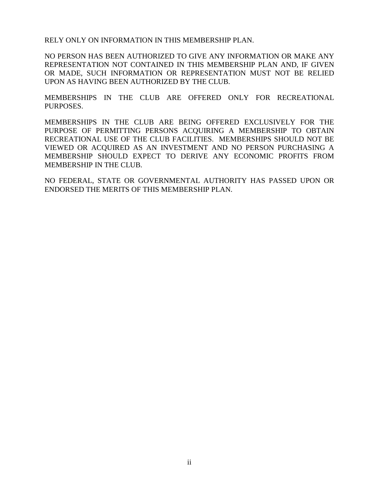RELY ONLY ON INFORMATION IN THIS MEMBERSHIP PLAN.

NO PERSON HAS BEEN AUTHORIZED TO GIVE ANY INFORMATION OR MAKE ANY REPRESENTATION NOT CONTAINED IN THIS MEMBERSHIP PLAN AND, IF GIVEN OR MADE, SUCH INFORMATION OR REPRESENTATION MUST NOT BE RELIED UPON AS HAVING BEEN AUTHORIZED BY THE CLUB.

MEMBERSHIPS IN THE CLUB ARE OFFERED ONLY FOR RECREATIONAL PURPOSES.

MEMBERSHIPS IN THE CLUB ARE BEING OFFERED EXCLUSIVELY FOR THE PURPOSE OF PERMITTING PERSONS ACQUIRING A MEMBERSHIP TO OBTAIN RECREATIONAL USE OF THE CLUB FACILITIES. MEMBERSHIPS SHOULD NOT BE VIEWED OR ACQUIRED AS AN INVESTMENT AND NO PERSON PURCHASING A MEMBERSHIP SHOULD EXPECT TO DERIVE ANY ECONOMIC PROFITS FROM MEMBERSHIP IN THE CLUB.

NO FEDERAL, STATE OR GOVERNMENTAL AUTHORITY HAS PASSED UPON OR ENDORSED THE MERITS OF THIS MEMBERSHIP PLAN.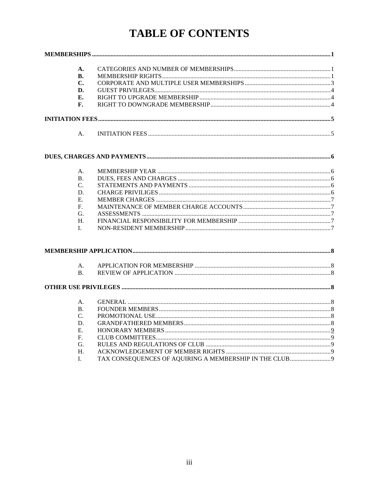# **TABLE OF CONTENTS**

| A.              |                                                        |  |
|-----------------|--------------------------------------------------------|--|
| В.<br>C.        |                                                        |  |
| D.              |                                                        |  |
| Е.              |                                                        |  |
| F.              |                                                        |  |
|                 |                                                        |  |
|                 |                                                        |  |
| A.              |                                                        |  |
|                 |                                                        |  |
|                 |                                                        |  |
| A.              |                                                        |  |
| <b>B.</b>       |                                                        |  |
| C.              |                                                        |  |
| D.              |                                                        |  |
| Ε.              |                                                        |  |
| F.              |                                                        |  |
| G.              |                                                        |  |
| H.              |                                                        |  |
| I.              |                                                        |  |
|                 |                                                        |  |
| A.              |                                                        |  |
| <b>B.</b>       |                                                        |  |
|                 |                                                        |  |
|                 |                                                        |  |
| A.              |                                                        |  |
| <b>B.</b>       |                                                        |  |
| $\mathcal{C}$ . |                                                        |  |
| D.              |                                                        |  |
| E.              |                                                        |  |
| $\mathbf{F}$ .  |                                                        |  |
| G.              |                                                        |  |
| $H_{\cdot}$     |                                                        |  |
| I.              | TAX CONSEQUENCES OF AQUIRING A MEMBERSHIP IN THE CLUB9 |  |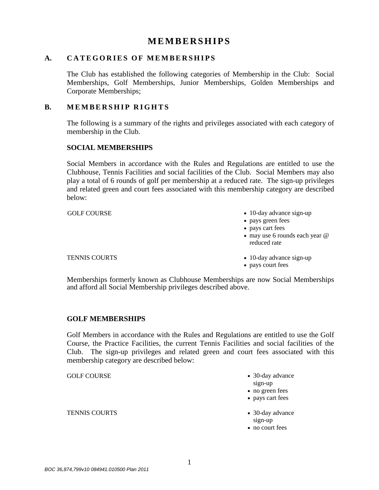# **MEMBERSHIPS**

# <span id="page-4-1"></span><span id="page-4-0"></span>A. **CATEGORIES OF MEMBERSHIPS**

The Club has established the following categories of Membership in the Club: Social Memberships, Golf Memberships, Junior Memberships, Golden Memberships and Corporate Memberships;

# <span id="page-4-2"></span>**B. MEMBERSHIP RIGHTS**

The following is a summary of the rights and privileges associated with each category of membership in the Club.

# **SOCIAL MEMBERSHIPS**

Social Members in accordance with the Rules and Regulations are entitled to use the Clubhouse, Tennis Facilities and social facilities of the Club. Social Members may also play a total of 6 rounds of golf per membership at a reduced rate. The sign-up privileges and related green and court fees associated with this membership category are described below:

GOLF COURSE • 10-day advance sign-up

- pays green fees
- pays cart fees

• pays court fees

• may use 6 rounds each year  $@$ reduced rate

#### TENNIS COURTS • 10-day advance sign-up

Memberships formerly known as Clubhouse Memberships are now Social Memberships and afford all Social Membership privileges described above.

# **GOLF MEMBERSHIPS**

Golf Members in accordance with the Rules and Regulations are entitled to use the Golf Course, the Practice Facilities, the current Tennis Facilities and social facilities of the Club. The sign-up privileges and related green and court fees associated with this membership category are described below:

TENNIS COURTS • 30-day advance

- GOLF COURSE 30-day advance sign-up
	- no green fees
	- pays cart fees
	- sign-up
	- no court fees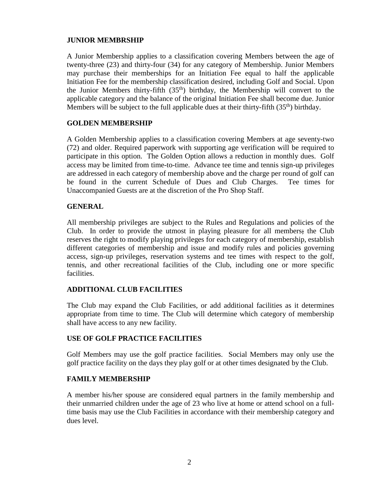# **JUNIOR MEMBRSHIP**

A Junior Membership applies to a classification covering Members between the age of twenty-three (23) and thirty-four (34) for any category of Membership. Junior Members may purchase their memberships for an Initiation Fee equal to half the applicable Initiation Fee for the membership classification desired, including Golf and Social. Upon the Junior Members thirty-fifth  $(35<sup>th</sup>)$  birthday, the Membership will convert to the applicable category and the balance of the original Initiation Fee shall become due. Junior Members will be subject to the full applicable dues at their thirty-fifth  $(35<sup>th</sup>)$  birthday.

# **GOLDEN MEMBERSHIP**

A Golden Membership applies to a classification covering Members at age seventy-two (72) and older. Required paperwork with supporting age verification will be required to participate in this option. The Golden Option allows a reduction in monthly dues. Golf access may be limited from time-to-time. Advance tee time and tennis sign-up privileges are addressed in each category of membership above and the charge per round of golf can be found in the current Schedule of Dues and Club Charges. Tee times for Unaccompanied Guests are at the discretion of the Pro Shop Staff.

# **GENERAL**

All membership privileges are subject to the Rules and Regulations and policies of the Club. In order to provide the utmost in playing pleasure for all members; the Club reserves the right to modify playing privileges for each category of membership, establish different categories of membership and issue and modify rules and policies governing access, sign-up privileges, reservation systems and tee times with respect to the golf, tennis, and other recreational facilities of the Club, including one or more specific facilities.

# **ADDITIONAL CLUB FACILITIES**

The Club may expand the Club Facilities, or add additional facilities as it determines appropriate from time to time. The Club will determine which category of membership shall have access to any new facility.

# **USE OF GOLF PRACTICE FACILITIES**

Golf Members may use the golf practice facilities. Social Members may only use the golf practice facility on the days they play golf or at other times designated by the Club.

# **FAMILY MEMBERSHIP**

A member his/her spouse are considered equal partners in the family membership and their unmarried children under the age of 23 who live at home or attend school on a fulltime basis may use the Club Facilities in accordance with their membership category and dues level.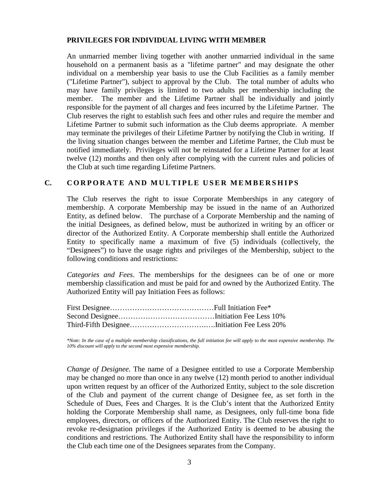# **PRIVILEGES FOR INDIVIDUAL LIVING WITH MEMBER**

An unmarried member living together with another unmarried individual in the same household on a permanent basis as a "lifetime partner" and may designate the other individual on a membership year basis to use the Club Facilities as a family member ("Lifetime Partner"), subject to approval by the Club. The total number of adults who may have family privileges is limited to two adults per membership including the member. The member and the Lifetime Partner shall be individually and jointly responsible for the payment of all charges and fees incurred by the Lifetime Partner. The Club reserves the right to establish such fees and other rules and require the member and Lifetime Partner to submit such information as the Club deems appropriate. A member may terminate the privileges of their Lifetime Partner by notifying the Club in writing. If the living situation changes between the member and Lifetime Partner, the Club must be notified immediately. Privileges will not be reinstated for a Lifetime Partner for at least twelve (12) months and then only after complying with the current rules and policies of the Club at such time regarding Lifetime Partners.

# <span id="page-6-0"></span>**C. CORPORATE AND MULTIPLE USER MEMBERSHIPS**

The Club reserves the right to issue Corporate Memberships in any category of membership. A corporate Membership may be issued in the name of an Authorized Entity, as defined below. The purchase of a Corporate Membership and the naming of the initial Designees, as defined below, must be authorized in writing by an officer or director of the Authorized Entity. A Corporate membership shall entitle the Authorized Entity to specifically name a maximum of five (5) individuals (collectively, the "Designees") to have the usage rights and privileges of the Membership, subject to the following conditions and restrictions:

*Categories and Fees*. The memberships for the designees can be of one or more membership classification and must be paid for and owned by the Authorized Entity. The Authorized Entity will pay Initiation Fees as follows:

*\*Note: In the case of a multiple membership classifications, the full initiation fee will apply to the most expensive membership. The 10% discount will apply to the second most expensive membership.* 

*Change of Designee*. The name of a Designee entitled to use a Corporate Membership may be changed no more than once in any twelve (12) month period to another individual upon written request by an officer of the Authorized Entity, subject to the sole discretion of the Club and payment of the current change of Designee fee, as set forth in the Schedule of Dues, Fees and Charges. It is the Club's intent that the Authorized Entity holding the Corporate Membership shall name, as Designees, only full-time bona fide employees, directors, or officers of the Authorized Entity. The Club reserves the right to revoke re-designation privileges if the Authorized Entity is deemed to be abusing the conditions and restrictions. The Authorized Entity shall have the responsibility to inform the Club each time one of the Designees separates from the Company.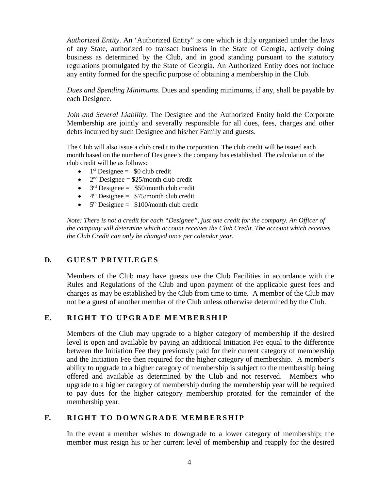*Authorized Entity*. An 'Authorized Entity" is one which is duly organized under the laws of any State, authorized to transact business in the State of Georgia, actively doing business as determined by the Club, and in good standing pursuant to the statutory regulations promulgated by the State of Georgia. An Authorized Entity does not include any entity formed for the specific purpose of obtaining a membership in the Club.

*Dues and Spending Minimums*. Dues and spending minimums, if any, shall be payable by each Designee.

*Join and Several Liability*. The Designee and the Authorized Entity hold the Corporate Membership are jointly and severally responsible for all dues, fees, charges and other debts incurred by such Designee and his/her Family and guests.

The Club will also issue a club credit to the corporation. The club credit will be issued each month based on the number of Designee's the company has established. The calculation of the club credit will be as follows:

- $1<sup>st</sup>$  Designee = \$0 club credit
- $2<sup>nd</sup>$  Designee = \$25/month club credit
- $3<sup>rd</sup>$  Designee = \$50/month club credit
- $4<sup>th</sup>$  Designee = \$75/month club credit
- $5<sup>th</sup>$  Designee =  $$100/month$  club credit

*Note: There is not a credit for each "Designee", just one credit for the company. An Officer of the company will determine which account receives the Club Credit. The account which receives the Club Credit can only be changed once per calendar year.* 

# <span id="page-7-0"></span>**D. GUEST PRIVILEGES**

Members of the Club may have guests use the Club Facilities in accordance with the Rules and Regulations of the Club and upon payment of the applicable guest fees and charges as may be established by the Club from time to time. A member of the Club may not be a guest of another member of the Club unless otherwise determined by the Club.

# <span id="page-7-1"></span>E. RIGHT TO UPGRADE MEMBERSHIP

Members of the Club may upgrade to a higher category of membership if the desired level is open and available by paying an additional Initiation Fee equal to the difference between the Initiation Fee they previously paid for their current category of membership and the Initiation Fee then required for the higher category of membership. A member's ability to upgrade to a higher category of membership is subject to the membership being offered and available as determined by the Club and not reserved. Members who upgrade to a higher category of membership during the membership year will be required to pay dues for the higher category membership prorated for the remainder of the membership year.

# <span id="page-7-2"></span>**F.** RIGHT TO DOWNGRADE MEMBERSHIP

In the event a member wishes to downgrade to a lower category of membership; the member must resign his or her current level of membership and reapply for the desired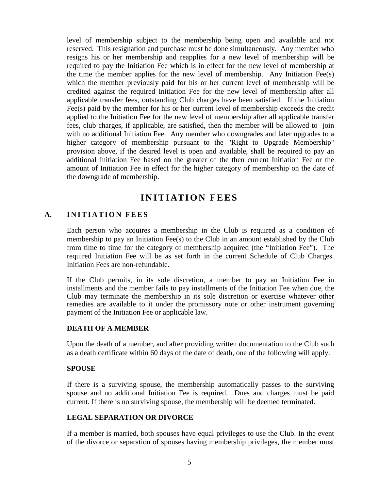level of membership subject to the membership being open and available and not reserved. This resignation and purchase must be done simultaneously. Any member who resigns his or her membership and reapplies for a new level of membership will be required to pay the Initiation Fee which is in effect for the new level of membership at the time the member applies for the new level of membership. Any Initiation Fee(s) which the member previously paid for his or her current level of membership will be credited against the required Initiation Fee for the new level of membership after all applicable transfer fees, outstanding Club charges have been satisfied. If the Initiation Fee(s) paid by the member for his or her current level of membership exceeds the credit applied to the Initiation Fee for the new level of membership after all applicable transfer fees, club charges, if applicable, are satisfied, then the member will be allowed to join with no additional Initiation Fee. Any member who downgrades and later upgrades to a higher category of membership pursuant to the "Right to Upgrade Membership" provision above, if the desired level is open and available, shall be required to pay an additional Initiation Fee based on the greater of the then current Initiation Fee or the amount of Initiation Fee in effect for the higher category of membership on the date of the downgrade of membership.

# **INITIATION FEES**

# <span id="page-8-1"></span><span id="page-8-0"></span>**A. INITIATION FEE S**

Each person who acquires a membership in the Club is required as a condition of membership to pay an Initiation Fee(s) to the Club in an amount established by the Club from time to time for the category of membership acquired (the "Initiation Fee"). The required Initiation Fee will be as set forth in the current Schedule of Club Charges. Initiation Fees are non-refundable.

If the Club permits, in its sole discretion, a member to pay an Initiation Fee in installments and the member fails to pay installments of the Initiation Fee when due, the Club may terminate the membership in its sole discretion or exercise whatever other remedies are available to it under the promissory note or other instrument governing payment of the Initiation Fee or applicable law.

#### **DEATH OF A MEMBER**

Upon the death of a member, and after providing written documentation to the Club such as a death certificate within 60 days of the date of death, one of the following will apply.

#### **SPOUSE**

If there is a surviving spouse, the membership automatically passes to the surviving spouse and no additional Initiation Fee is required. Dues and charges must be paid current. If there is no surviving spouse, the membership will be deemed terminated.

#### **LEGAL SEPARATION OR DIVORCE**

If a member is married, both spouses have equal privileges to use the Club. In the event of the divorce or separation of spouses having membership privileges, the member must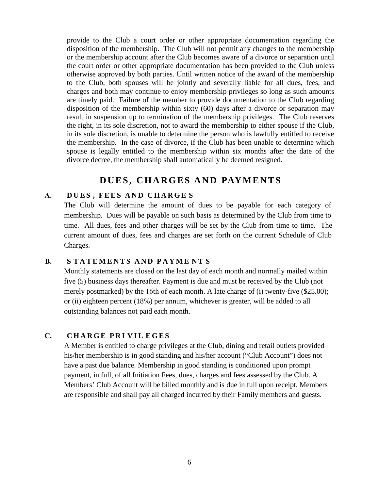provide to the Club a court order or other appropriate documentation regarding the disposition of the membership. The Club will not permit any changes to the membership or the membership account after the Club becomes aware of a divorce or separation until the court order or other appropriate documentation has been provided to the Club unless otherwise approved by both parties. Until written notice of the award of the membership to the Club, both spouses will be jointly and severally liable for all dues, fees, and charges and both may continue to enjoy membership privileges so long as such amounts are timely paid. Failure of the member to provide documentation to the Club regarding disposition of the membership within sixty (60) days after a divorce or separation may result in suspension up to termination of the membership privileges. The Club reserves the right, in its sole discretion, not to award the membership to either spouse if the Club, in its sole discretion, is unable to determine the person who is lawfully entitled to receive the membership. In the case of divorce, if the Club has been unable to determine which spouse is legally entitled to the membership within six months after the date of the divorce decree, the membership shall automatically be deemed resigned.

# **DUES, CHARGES AND PAYMENTS**

# <span id="page-9-1"></span><span id="page-9-0"></span>**A. DUES , FEES AND CHARGE S**

The Club will determine the amount of dues to be payable for each category of membership. Dues will be payable on such basis as determined by the Club from time to time. All dues, fees and other charges will be set by the Club from time to time. The current amount of dues, fees and charges are set forth on the current Schedule of Club Charges.

# <span id="page-9-2"></span>**B. S TATEMENTS AND PAYME N T S**

Monthly statements are closed on the last day of each month and normally mailed within five (5) business days thereafter. Payment is due and must be received by the Club (not merely postmarked) by the 16th of each month. A late charge of (i) twenty-five (\$25.00); or (ii) eighteen percent (18%) per annum, whichever is greater, will be added to all outstanding balances not paid each month.

# **C. CHARGE PRI VIL EGES**

A Member is entitled to charge privileges at the Club, dining and retail outlets provided his/her membership is in good standing and his/her account ("Club Account") does not have a past due balance. Membership in good standing is conditioned upon prompt payment, in full, of all Initiation Fees, dues, charges and fees assessed by the Club. A Members' Club Account will be billed monthly and is due in full upon receipt. Members are responsible and shall pay all charged incurred by their Family members and guests.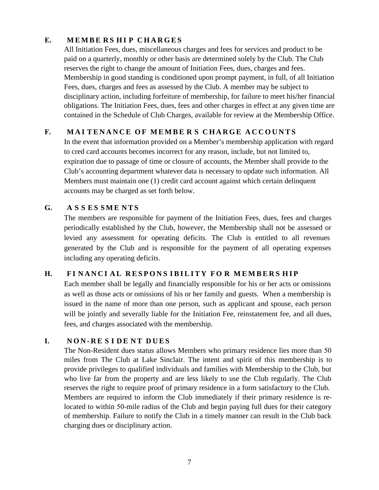# **E. MEMBE R S H I P CHARGES**

All Initiation Fees, dues, miscellaneous charges and fees for services and product to be paid on a quarterly, monthly or other basis are determined solely by the Club. The Club reserves the right to change the amount of Initiation Fees, dues, charges and fees. Membership in good standing is conditioned upon prompt payment, in full, of all Initiation Fees, dues, charges and fees as assessed by the Club. A member may be subject to disciplinary action, including forfeiture of membership, for failure to meet his/her financial obligations. The Initiation Fees, dues, fees and other charges in effect at any given time are contained in the Schedule of Club Charges, available for review at the Membership Office.

# **F. MAI TENANCE O F MEMBE R S CHARGE ACCOUNTS**

In the event that information provided on a Member's membership application with regard to cred card accounts becomes incorrect for any reason, include, but not limited to, expiration due to passage of time or closure of accounts, the Member shall provide to the Club's accounting department whatever data is necessary to update such information. All Members must maintain one (1) credit card account against which certain delinquent accounts may be charged as set forth below.

# <span id="page-10-0"></span>**G. A S S ES SME NTS**

The members are responsible for payment of the Initiation Fees, dues, fees and charges periodically established by the Club, however, the Membership shall not be assessed or levied any assessment for operating deficits. The Club is entitled to all revenues generated by the Club and is responsible for the payment of all operating expenses including any operating deficits.

# <span id="page-10-1"></span>**H. F I NANCI A L RESPONS IBILITY F O R M E MBE R S HIP**

Each member shall be legally and financially responsible for his or her acts or omissions as well as those acts or omissions of his or her family and guests. When a membership is issued in the name of more than one person, such as applicant and spouse, each person will be jointly and severally liable for the Initiation Fee, reinstatement fee, and all dues, fees, and charges associated with the membership.

# **I. NON - R E S I D E N T DUES**

The Non-Resident dues status allows Members who primary residence lies more than 50 miles from The Club at Lake Sinclair. The intent and spirit of this membership is to provide privileges to qualified individuals and families with Membership to the Club, but who live far from the property and are less likely to use the Club regularly. The Club reserves the right to require proof of primary residence in a form satisfactory to the Club. Members are required to inform the Club immediately if their primary residence is relocated to within 50-mile radius of the Club and begin paying full dues for their category of membership. Failure to notify the Club in a timely manner can result in the Club back charging dues or disciplinary action.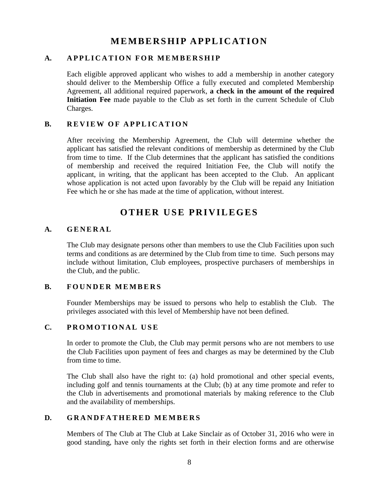# **MEMBERSHIP APPLICATION**

# <span id="page-11-1"></span><span id="page-11-0"></span>**A. APPLICATION FOR MEMBERSHIP**

Each eligible approved applicant who wishes to add a membership in another category should deliver to the Membership Office a fully executed and completed Membership Agreement, all additional required paperwork, **a check in the amount of the required Initiation Fee** made payable to the Club as set forth in the current Schedule of Club Charges.

# <span id="page-11-2"></span>**B.** REVIEW OF APPLICATION

After receiving the Membership Agreement, the Club will determine whether the applicant has satisfied the relevant conditions of membership as determined by the Club from time to time. If the Club determines that the applicant has satisfied the conditions of membership and received the required Initiation Fee, the Club will notify the applicant, in writing, that the applicant has been accepted to the Club. An applicant whose application is not acted upon favorably by the Club will be repaid any Initiation Fee which he or she has made at the time of application, without interest.

# **OTHER USE PRIVILEGES**

# <span id="page-11-4"></span><span id="page-11-3"></span>**A. GENERAL**

The Club may designate persons other than members to use the Club Facilities upon such terms and conditions as are determined by the Club from time to time. Such persons may include without limitation, Club employees, prospective purchasers of memberships in the Club, and the public.

# <span id="page-11-5"></span>**B. FOUNDER MEMBERS**

Founder Memberships may be issued to persons who help to establish the Club. The privileges associated with this level of Membership have not been defined.

# <span id="page-11-6"></span>**C. PROMOTIONAL USE**

In order to promote the Club, the Club may permit persons who are not members to use the Club Facilities upon payment of fees and charges as may be determined by the Club from time to time.

The Club shall also have the right to: (a) hold promotional and other special events, including golf and tennis tournaments at the Club; (b) at any time promote and refer to the Club in advertisements and promotional materials by making reference to the Club and the availability of memberships.

# <span id="page-11-7"></span>**D. GRANDFATHERED MEMBERS**

Members of The Club at The Club at Lake Sinclair as of October 31, 2016 who were in good standing, have only the rights set forth in their election forms and are otherwise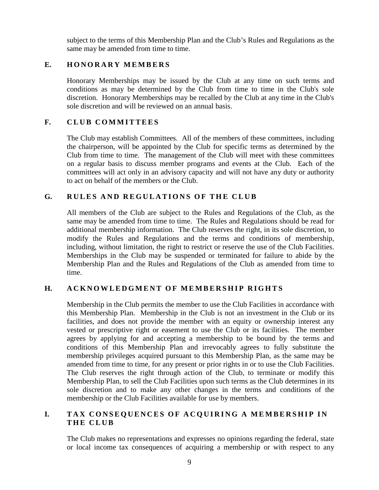subject to the terms of this Membership Plan and the Club's Rules and Regulations as the same may be amended from time to time.

# <span id="page-12-0"></span>**E. HONORARY MEMBERS**

Honorary Memberships may be issued by the Club at any time on such terms and conditions as may be determined by the Club from time to time in the Club's sole discretion. Honorary Memberships may be recalled by the Club at any time in the Club's sole discretion and will be reviewed on an annual basis.

# **F. CLUB COMMITTEES**

The Club may establish Committees. All of the members of these committees, including the chairperson, will be appointed by the Club for specific terms as determined by the Club from time to time. The management of the Club will meet with these committees on a regular basis to discuss member programs and events at the Club. Each of the committees will act only in an advisory capacity and will not have any duty or authority to act on behalf of the members or the Club.

# **G. RULES AND REGULATIONS O F THE CLUB**

All members of the Club are subject to the Rules and Regulations of the Club, as the same may be amended from time to time. The Rules and Regulations should be read for additional membership information. The Club reserves the right, in its sole discretion, to modify the Rules and Regulations and the terms and conditions of membership, including, without limitation, the right to restrict or reserve the use of the Club Facilities. Memberships in the Club may be suspended or terminated for failure to abide by the Membership Plan and the Rules and Regulations of the Club as amended from time to time.

# **H. ACKNOWLEDGMENT O F MEMBERSHIP RIGHTS**

Membership in the Club permits the member to use the Club Facilities in accordance with this Membership Plan. Membership in the Club is not an investment in the Club or its facilities, and does not provide the member with an equity or ownership interest any vested or prescriptive right or easement to use the Club or its facilities. The member agrees by applying for and accepting a membership to be bound by the terms and conditions of this Membership Plan and irrevocably agrees to fully substitute the membership privileges acquired pursuant to this Membership Plan, as the same may be amended from time to time, for any present or prior rights in or to use the Club Facilities. The Club reserves the right through action of the Club, to terminate or modify this Membership Plan, to sell the Club Facilities upon such terms as the Club determines in its sole discretion and to make any other changes in the terms and conditions of the membership or the Club Facilities available for use by members.

# **I.** TAX CONSEQUENCES OF ACQUIRING A MEMBERSHIP IN **THE CLUB**

The Club makes no representations and expresses no opinions regarding the federal, state or local income tax consequences of acquiring a membership or with respect to any